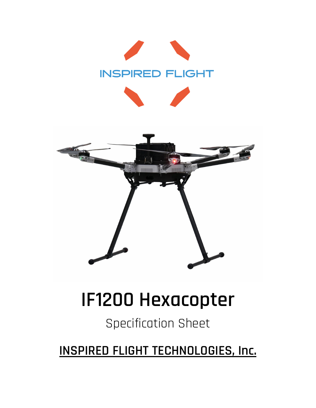



# **IF1200 Hexacopter**

## Specification Sheet

**INSPIRED FLIGHT TECHNOLOGIES, Inc.**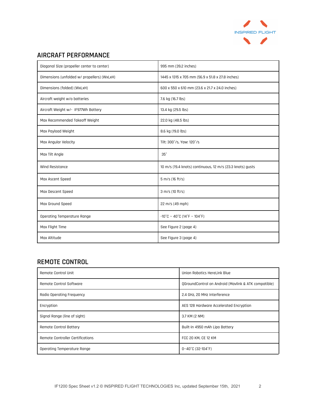

#### **AIRCRAFT PERFORMANCE**

| Diagonal Size (propeller center to center)  | 995 mm (39.2 inches)                                                   |
|---------------------------------------------|------------------------------------------------------------------------|
| Dimensions (unfolded w/ propellers) (WxLxH) | 1445 x 1315 x 705 mm (56.9 x 51.8 x 27.8 inches)                       |
| Dimensions (folded) (WxLxH)                 | 600 x 550 x 610 mm (23.6 x 21.7 x 24.0 inches)                         |
| Aircraft weight w/o batteries               | 7.6 kg (16.7 lbs)                                                      |
| Aircraft Weight w/- IF977Wh Battery         | 13.4 kg (29.5 lbs)                                                     |
| Max Recommended Takeoff Weight              | 22.0 kg (48.5 lbs)                                                     |
| Max Payload Weight                          | 8.6 kg (19.0 lbs)                                                      |
| Max Angular Velocity                        | Tilt: 300°/s, Yaw: 120°/s                                              |
| Max Tilt Angle                              | 35°                                                                    |
| Wind Resistance                             | 10 m/s (19.4 knots) continuous, 12 m/s (23.3 knots) gusts              |
| Max Ascent Speed                            | 5 m/s (16 ft/s)                                                        |
| Max Descent Speed                           | 3 m/s (10 ft/s)                                                        |
| Max Ground Speed                            | 22 m/s (49 mph)                                                        |
| Operating Temperature Range                 | $-10^{\circ}$ C ~ 40 $^{\circ}$ C (14 $^{\circ}$ F ~ 104 $^{\circ}$ F) |
| Max Flight Time                             | See Figure 2 (page 4)                                                  |
| Max Altitude                                | See Figure 3 (page 4)                                                  |

#### **REMOTE CONTROL**

| Remote Control Unit              | Union Robotics HereLink Blue                         |
|----------------------------------|------------------------------------------------------|
| Remote Control Software          | OGroundControl on Android (Maylink & ATK compatible) |
| Radio Operating Frequency        | 2.4 GHz, 20 MHz Interference                         |
| Encryption                       | AES 128 Hardware Accelerated Encryption              |
| Signal Range (line of sight)     | 3.7 KM (2 NM)                                        |
| Remote Control Battery           | Built-in 4950 mAh Lipo Battery                       |
| Remote Controller Certifications | FCC 20 KM, CE 12 KM                                  |
| Operating Temperature Range      | 0~40°C (32-104°F)                                    |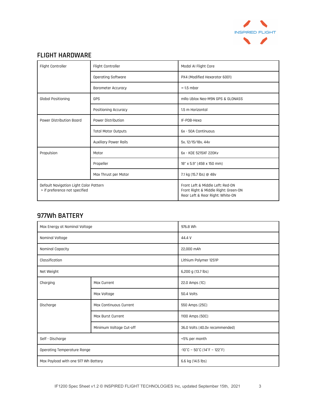

#### **FLIGHT HARDWARE**

| Flight Controller                                                       | Flight Controller          | Modal AI Flight Core                                                                                         |
|-------------------------------------------------------------------------|----------------------------|--------------------------------------------------------------------------------------------------------------|
|                                                                         | <b>Operating Software</b>  | PX4 (Modified Hexarotor 6001)                                                                                |
|                                                                         | <b>Barometer Accuracy</b>  | $+ -1.5$ mbar                                                                                                |
| <b>Global Positioning</b>                                               | GPS                        | mRo Ublox Neo-M9N GPS & GLONASS                                                                              |
|                                                                         | Positioning Accuracy       | 1.5 m Horizontal                                                                                             |
| Power Distribution Board                                                | Power Distribution         | IF-PDB-Hexa                                                                                                  |
|                                                                         | <b>Total Motor Outputs</b> | 6x - 50A Continuous                                                                                          |
|                                                                         | Auxiliary Power Rails      | 5v, 12/15/18v, 44v                                                                                           |
| Propulsion                                                              | Motor                      | 6x - KDE 5215XF 220Kv                                                                                        |
|                                                                         | Propeller                  | 18" x 5.9" (458 x 150 mm)                                                                                    |
|                                                                         | Max Thrust per Motor       | 7.1 kg (15.7 lbs) @ 48v                                                                                      |
| Default Navigation Light Color Pattern<br>> if preference not specified |                            | Front Left & Middle Left: Red-ON<br>Front Right & Middle Right: Green-ON<br>Rear Left & Rear Right: White-ON |

#### **977Wh BATTERY**

| Max Energy at Nominal Voltage       |                               | 976.8 Wh                                                               |
|-------------------------------------|-------------------------------|------------------------------------------------------------------------|
| Nominal Voltage                     |                               | 44.4 V                                                                 |
| <b>Nominal Capacity</b>             |                               | 22,000 mAh                                                             |
| Classification                      |                               | Lithium Polymer 12S1P                                                  |
| Net Weight                          |                               | 6,200 g (13.7 lbs)                                                     |
| Charging                            | <b>Max Current</b>            | 22.0 Amps (1C)                                                         |
|                                     | Max Voltage                   | 50.4 Volts                                                             |
| Discharge                           | <b>Max Continuous Current</b> | 550 Amps (25C)                                                         |
|                                     | Max Burst Current             | 1100 Amps (50C)                                                        |
|                                     | Minimum Voltage Cut-off       | 36.0 Volts (40.0v recommended)                                         |
| Self - Discharge                    |                               | <5% per month                                                          |
| Operating Temperature Range         |                               | $-10^{\circ}$ C ~ 50 $^{\circ}$ C (14 $^{\circ}$ F ~ 122 $^{\circ}$ F) |
| Max Payload with one 977 Wh Battery |                               | 6.6 kg (14.5 lbs)                                                      |